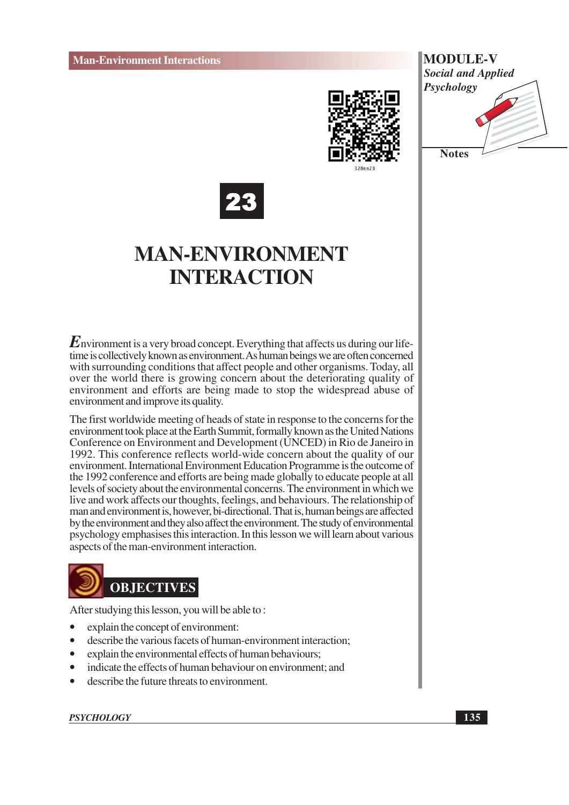





## **MAN-ENVIRONMENT INTERACTION**

 $E$ nvironment is a very broad concept. Everything that affects us during our lifetime is collectively known as environment. As human beings we are often concerned with surrounding conditions that affect people and other organisms. Today, all over the world there is growing concern about the deteriorating quality of environment and efforts are being made to stop the widespread abuse of environment and improve its quality.

The first worldwide meeting of heads of state in response to the concerns for the environment took place at the Earth Summit, formally known as the United Nations Conference on Environment and Development (UNCED) in Rio de Janeiro in 1992. This conference reflects world-wide concern about the quality of our environment. International Environment Education Programme is the outcome of the 1992 conference and efforts are being made globally to educate people at all levels of society about the environmental concerns. The environment in which we live and work affects our thoughts, feelings, and behaviours. The relationship of man and environment is, however, bi-directional. That is, human beings are affected by the environment and they also affect the environment. The study of environmental psychology emphasises this interaction. In this lesson we will learn about various aspects of the man-environment interaction.



After studying this lesson, you will be able to:

- $\bullet$ explain the concept of environment:
- describe the various facets of human-environment interaction;  $\bullet$
- explain the environmental effects of human behaviours:  $\bullet$
- indicate the effects of human behaviour on environment; and  $\bullet$
- describe the future threats to environment.

**PSYCHOLOGY**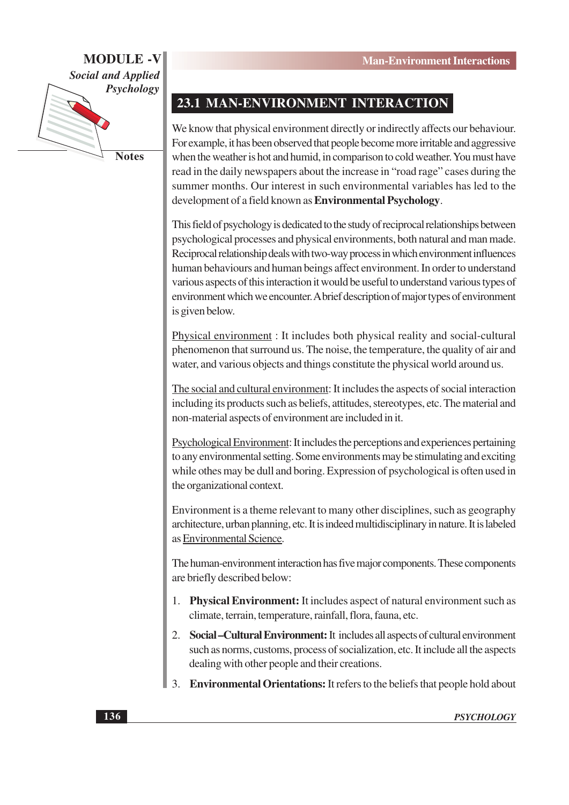

**Notes** 

## 23.1 MAN-ENVIRONMENT INTERACTION

We know that physical environment directly or indirectly affects our behaviour. For example, it has been observed that people become more irritable and aggressive when the weather is hot and humid, in comparison to cold weather. You must have read in the daily newspapers about the increase in "road rage" cases during the summer months. Our interest in such environmental variables has led to the development of a field known as **Environmental Psychology**.

This field of psychology is dedicated to the study of reciprocal relationships between psychological processes and physical environments, both natural and man made. Reciprocal relationship deals with two-way process in which environment influences human behaviours and human beings affect environment. In order to understand various aspects of this interaction it would be useful to understand various types of environment which we encounter. A brief description of major types of environment is given below.

Physical environment : It includes both physical reality and social-cultural phenomenon that surround us. The noise, the temperature, the quality of air and water, and various objects and things constitute the physical world around us.

The social and cultural environment: It includes the aspects of social interaction including its products such as beliefs, attitudes, stereotypes, etc. The material and non-material aspects of environment are included in it.

Psychological Environment: It includes the perceptions and experiences pertaining to any environmental setting. Some environments may be stimulating and exciting while othes may be dull and boring. Expression of psychological is often used in the organizational context.

Environment is a theme relevant to many other disciplines, such as geography architecture, urban planning, etc. It is indeed multidisciplinary in nature. It is labeled as Environmental Science.

The human-environment interaction has five major components. These components are briefly described below:

- **Physical Environment:** It includes aspect of natural environment such as  $1.$ climate, terrain, temperature, rainfall, flora, fauna, etc.
- 2. Social Cultural Environment: It includes all aspects of cultural environment such as norms, customs, process of socialization, etc. It include all the aspects dealing with other people and their creations.
- $\overline{3}$ . **Environmental Orientations:** It refers to the beliefs that people hold about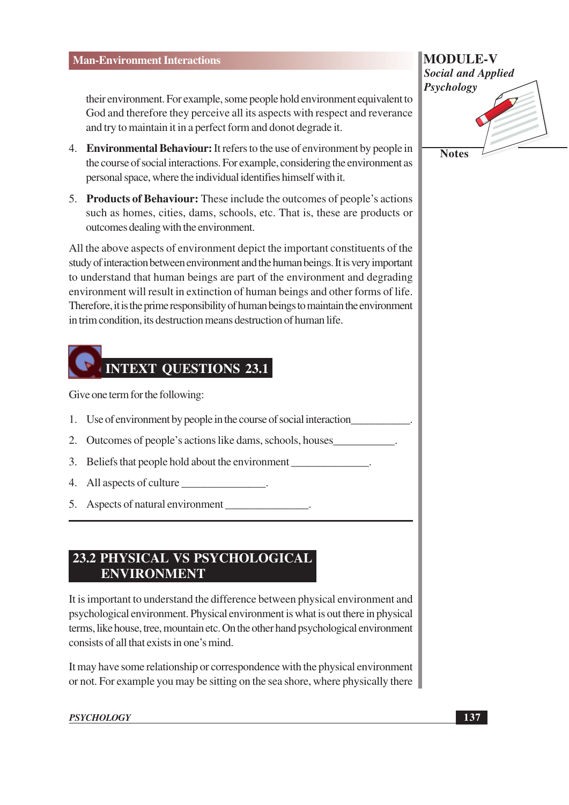their environment. For example, some people hold environment equivalent to God and therefore they perceive all its aspects with respect and reverance and try to maintain it in a perfect form and donot degrade it.

- 4. Environmental Behaviour: It refers to the use of environment by people in the course of social interactions. For example, considering the environment as personal space, where the individual identifies himself with it.
- 5. Products of Behaviour: These include the outcomes of people's actions such as homes, cities, dams, schools, etc. That is, these are products or outcomes dealing with the environment.

All the above aspects of environment depict the important constituents of the study of interaction between environment and the human beings. It is very important to understand that human beings are part of the environment and degrading environment will result in extinction of human beings and other forms of life. Therefore, it is the prime responsibility of human beings to maintain the environment in trim condition, its destruction means destruction of human life.

# **INTEXT QUESTIONS 23.1**

Give one term for the following:

- 1. Use of environment by people in the course of social interaction
- 2. Outcomes of people's actions like dams, schools, houses
- 3. Beliefs that people hold about the environment
- 4. All aspects of culture
- 5. Aspects of natural environment

### 23.2 PHYSICAL VS PSYCHOLOGICAL **ENVIRONMENT**

It is important to understand the difference between physical environment and psychological environment. Physical environment is what is out there in physical terms, like house, tree, mountain etc. On the other hand psychological environment consists of all that exists in one's mind.

It may have some relationship or correspondence with the physical environment or not. For example you may be sitting on the sea shore, where physically there

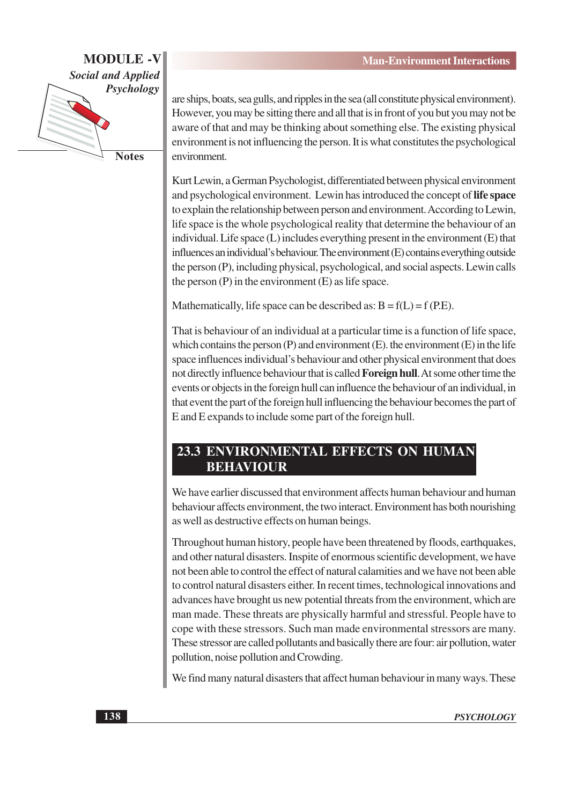

**Notes** 

are ships, boats, sea gulls, and ripples in the sea (all constitute physical environment). However, you may be sitting there and all that is in front of you but you may not be aware of that and may be thinking about something else. The existing physical environment is not influencing the person. It is what constitutes the psychological environment.

Kurt Lewin, a German Psychologist, differentiated between physical environment and psychological environment. Lewin has introduced the concept of life space to explain the relationship between person and environment. According to Lewin, life space is the whole psychological reality that determine the behaviour of an individual. Life space (L) includes everything present in the environment (E) that influences an individual's behaviour. The environment (E) contains everything outside the person (P), including physical, psychological, and social aspects. Lewin calls the person  $(P)$  in the environment  $(E)$  as life space.

Mathematically, life space can be described as:  $B = f(L) = f(P.E)$ .

That is behaviour of an individual at a particular time is a function of life space, which contains the person  $(P)$  and environment  $(E)$ , the environment  $(E)$  in the life space influences individual's behaviour and other physical environment that does not directly influence behaviour that is called **Foreign hull**. At some other time the events or objects in the foreign hull can influence the behaviour of an individual, in that event the part of the foreign hull influencing the behaviour becomes the part of E and E expands to include some part of the foreign hull.

### 23.3 ENVIRONMENTAL EFFECTS ON HUMAN **BEHAVIOUR**

We have earlier discussed that environment affects human behaviour and human behaviour affects environment, the two interact. Environment has both nourishing as well as destructive effects on human beings.

Throughout human history, people have been threatened by floods, earthquakes, and other natural disasters. Inspite of enormous scientific development, we have not been able to control the effect of natural calamities and we have not been able to control natural disasters either. In recent times, technological innovations and advances have brought us new potential threats from the environment, which are man made. These threats are physically harmful and stressful. People have to cope with these stressors. Such man made environmental stressors are many. These stressor are called pollutants and basically there are four: air pollution, water pollution, noise pollution and Crowding.

We find many natural disasters that affect human behaviour in many ways. These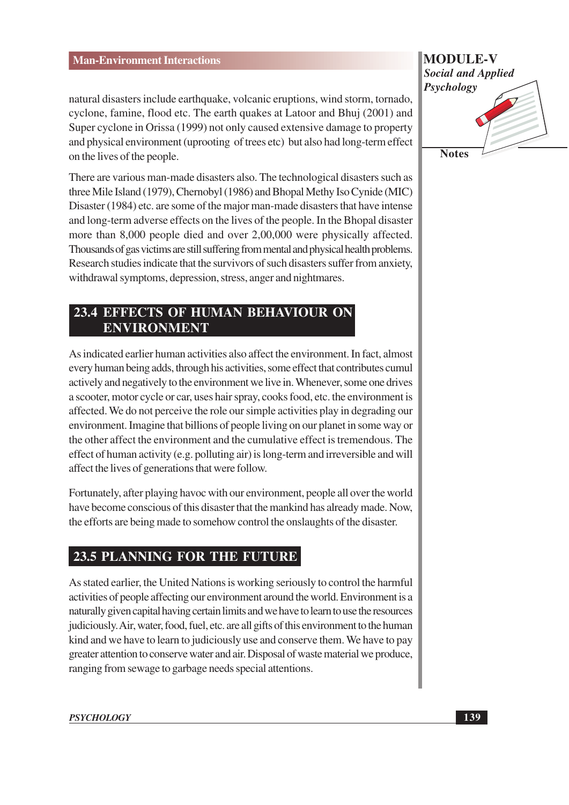natural disasters include earthquake, volcanic eruptions, wind storm, tornado, cyclone, famine, flood etc. The earth quakes at Latoor and Bhuj (2001) and Super cyclone in Orissa (1999) not only caused extensive damage to property and physical environment (uprooting of trees etc) but also had long-term effect on the lives of the people.

There are various man-made disasters also. The technological disasters such as three Mile Island (1979), Chernobyl (1986) and Bhopal Methy Iso Cynide (MIC) Disaster (1984) etc. are some of the major man-made disasters that have intense and long-term adverse effects on the lives of the people. In the Bhopal disaster more than 8,000 people died and over 2,00,000 were physically affected. Thousands of gas victims are still suffering from mental and physical health problems. Research studies indicate that the survivors of such disasters suffer from anxiety, withdrawal symptoms, depression, stress, anger and nightmares.

## **23.4 EFFECTS OF HUMAN BEHAVIOUR ON ENVIRONMENT**

As indicated earlier human activities also affect the environment. In fact, almost every human being adds, through his activities, some effect that contributes cumul actively and negatively to the environment we live in. Whenever, some one drives a scooter, motor cycle or car, uses hair spray, cooks food, etc. the environment is affected. We do not perceive the role our simple activities play in degrading our environment. Imagine that billions of people living on our planet in some way or the other affect the environment and the cumulative effect is tremendous. The effect of human activity (e.g. polluting air) is long-term and irreversible and will affect the lives of generations that were follow.

Fortunately, after playing havoc with our environment, people all over the world have become conscious of this disaster that the mankind has already made. Now, the efforts are being made to somehow control the onslaughts of the disaster.

## 23.5 PLANNING FOR THE FUTURE

As stated earlier, the United Nations is working seriously to control the harmful activities of people affecting our environment around the world. Environment is a naturally given capital having certain limits and we have to learn to use the resources judiciously. Air, water, food, fuel, etc. are all gifts of this environment to the human kind and we have to learn to judiciously use and conserve them. We have to pay greater attention to conserve water and air. Disposal of waste material we produce, ranging from sewage to garbage needs special attentions.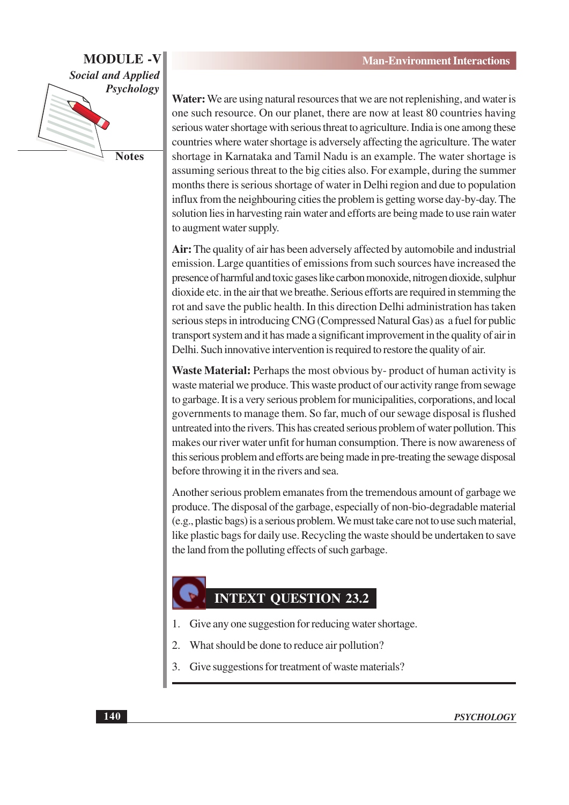

**Notes** 

Water: We are using natural resources that we are not replenishing, and water is one such resource. On our planet, there are now at least 80 countries having serious water shortage with serious threat to agriculture. India is one among these countries where water shortage is adversely affecting the agriculture. The water shortage in Karnataka and Tamil Nadu is an example. The water shortage is assuming serious threat to the big cities also. For example, during the summer months there is serious shortage of water in Delhi region and due to population influx from the neighbouring cities the problem is getting worse day-by-day. The solution lies in harvesting rain water and efforts are being made to use rain water to augment water supply.

Air: The quality of air has been adversely affected by automobile and industrial emission. Large quantities of emissions from such sources have increased the presence of harmful and toxic gases like carbon monoxide, nitrogen dioxide, sulphur dioxide etc. in the air that we breathe. Serious efforts are required in stemming the rot and save the public health. In this direction Delhi administration has taken serious steps in introducing CNG (Compressed Natural Gas) as a fuel for public transport system and it has made a significant improvement in the quality of air in Delhi. Such innovative intervention is required to restore the quality of air.

Waste Material: Perhaps the most obvious by-product of human activity is waste material we produce. This waste product of our activity range from sewage to garbage. It is a very serious problem for municipalities, corporations, and local governments to manage them. So far, much of our sewage disposal is flushed untreated into the rivers. This has created serious problem of water pollution. This makes our river water unfit for human consumption. There is now awareness of this serious problem and efforts are being made in pre-treating the sewage disposal before throwing it in the rivers and sea.

Another serious problem emanates from the tremendous amount of garbage we produce. The disposal of the garbage, especially of non-bio-degradable material (e.g., plastic bags) is a serious problem. We must take care not to use such material, like plastic bags for daily use. Recycling the waste should be undertaken to save the land from the polluting effects of such garbage.

## **INTEXT QUESTION 23.2**

- Give any one suggestion for reducing water shortage.
- What should be done to reduce air pollution?  $\mathcal{L}$
- 3. Give suggestions for treatment of waste materials?